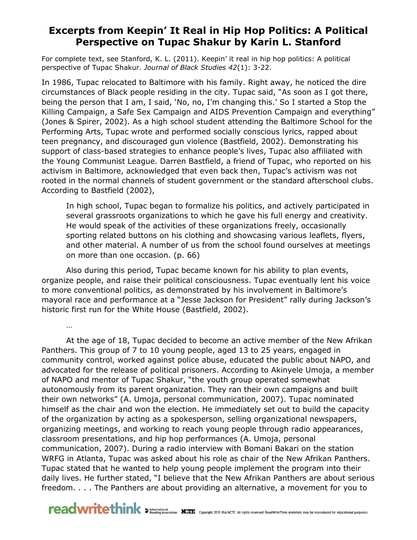## **Excerpts from Keepin' It Real in Hip Hop Politics: A Political Perspective on Tupac Shakur by Karin L. Stanford**

For complete text, see Stanford, K. L. (2011). Keepin' it real in hip hop politics: A political perspective of Tupac Shakur. *Journal of Black Studies 42*(1): 3-22.

In 1986, Tupac relocated to Baltimore with his family. Right away, he noticed the dire circumstances of Black people residing in the city. Tupac said, "As soon as I got there, being the person that I am, I said, 'No, no, I'm changing this.' So I started a Stop the Killing Campaign, a Safe Sex Campaign and AIDS Prevention Campaign and everything" (Jones & Spirer, 2002). As a high school student attending the Baltimore School for the Performing Arts, Tupac wrote and performed socially conscious lyrics, rapped about teen pregnancy, and discouraged gun violence (Bastfield, 2002). Demonstrating his support of class-based strategies to enhance people's lives, Tupac also affiliated with the Young Communist League. Darren Bastfield, a friend of Tupac, who reported on his activism in Baltimore, acknowledged that even back then, Tupac's activism was not rooted in the normal channels of student government or the standard afterschool clubs. According to Bastfield (2002),

In high school, Tupac began to formalize his politics, and actively participated in several grassroots organizations to which he gave his full energy and creativity. He would speak of the activities of these organizations freely, occasionally sporting related buttons on his clothing and showcasing various leaflets, flyers, and other material. A number of us from the school found ourselves at meetings on more than one occasion. (p. 66)

Also during this period, Tupac became known for his ability to plan events, organize people, and raise their political consciousness. Tupac eventually lent his voice to more conventional politics, as demonstrated by his involvement in Baltimore's mayoral race and performance at a "Jesse Jackson for President" rally during Jackson's historic first run for the White House (Bastfield, 2002).

…

At the age of 18, Tupac decided to become an active member of the New Afrikan Panthers. This group of 7 to 10 young people, aged 13 to 25 years, engaged in community control, worked against police abuse, educated the public about NAPO, and advocated for the release of political prisoners. According to Akinyele Umoja, a member of NAPO and mentor of Tupac Shakur, "the youth group operated somewhat autonomously from its parent organization. They ran their own campaigns and built their own networks" (A. Umoja, personal communication, 2007). Tupac nominated himself as the chair and won the election. He immediately set out to build the capacity of the organization by acting as a spokesperson, selling organizational newspapers, organizing meetings, and working to reach young people through radio appearances, classroom presentations, and hip hop performances (A. Umoja, personal communication, 2007). During a radio interview with Bomani Bakari on the station WRFG in Atlanta, Tupac was asked about his role as chair of the New Afrikan Panthers. Tupac stated that he wanted to help young people implement the program into their daily lives. He further stated, "I believe that the New Afrikan Panthers are about serious freedom. . . . The Panthers are about providing an alternative, a movement for you to

reading Association NCIE Copyright 2015 RA/NCTE. All rights reserved. ReadWriteThink materials may be reproduced for educational purposes.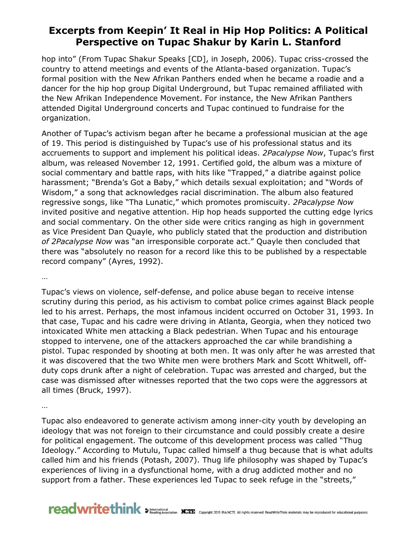## **Excerpts from Keepin' It Real in Hip Hop Politics: A Political Perspective on Tupac Shakur by Karin L. Stanford**

hop into" (From Tupac Shakur Speaks [CD], in Joseph, 2006). Tupac criss-crossed the country to attend meetings and events of the Atlanta-based organization. Tupac's formal position with the New Afrikan Panthers ended when he became a roadie and a dancer for the hip hop group Digital Underground, but Tupac remained affiliated with the New Afrikan Independence Movement. For instance, the New Afrikan Panthers attended Digital Underground concerts and Tupac continued to fundraise for the organization.

Another of Tupac's activism began after he became a professional musician at the age of 19. This period is distinguished by Tupac's use of his professional status and its accruements to support and implement his political ideas. *2Pacalypse Now*, Tupac's first album, was released November 12, 1991. Certified gold, the album was a mixture of social commentary and battle raps, with hits like "Trapped," a diatribe against police harassment; "Brenda's Got a Baby," which details sexual exploitation; and "Words of Wisdom," a song that acknowledges racial discrimination. The album also featured regressive songs, like "Tha Lunatic," which promotes promiscuity. *2Pacalypse Now* invited positive and negative attention. Hip hop heads supported the cutting edge lyrics and social commentary. On the other side were critics ranging as high in government as Vice President Dan Quayle, who publicly stated that the production and distribution *of 2Pacalypse Now* was "an irresponsible corporate act." Quayle then concluded that there was "absolutely no reason for a record like this to be published by a respectable record company" (Ayres, 1992).

…

Tupac's views on violence, self-defense, and police abuse began to receive intense scrutiny during this period, as his activism to combat police crimes against Black people led to his arrest. Perhaps, the most infamous incident occurred on October 31, 1993. In that case, Tupac and his cadre were driving in Atlanta, Georgia, when they noticed two intoxicated White men attacking a Black pedestrian. When Tupac and his entourage stopped to intervene, one of the attackers approached the car while brandishing a pistol. Tupac responded by shooting at both men. It was only after he was arrested that it was discovered that the two White men were brothers Mark and Scott Whitwell, offduty cops drunk after a night of celebration. Tupac was arrested and charged, but the case was dismissed after witnesses reported that the two cops were the aggressors at all times (Bruck, 1997).

…

Tupac also endeavored to generate activism among inner-city youth by developing an ideology that was not foreign to their circumstance and could possibly create a desire for political engagement. The outcome of this development process was called "Thug Ideology." According to Mutulu, Tupac called himself a thug because that is what adults called him and his friends (Potash, 2007). Thug life philosophy was shaped by Tupac's experiences of living in a dysfunctional home, with a drug addicted mother and no support from a father. These experiences led Tupac to seek refuge in the "streets,"